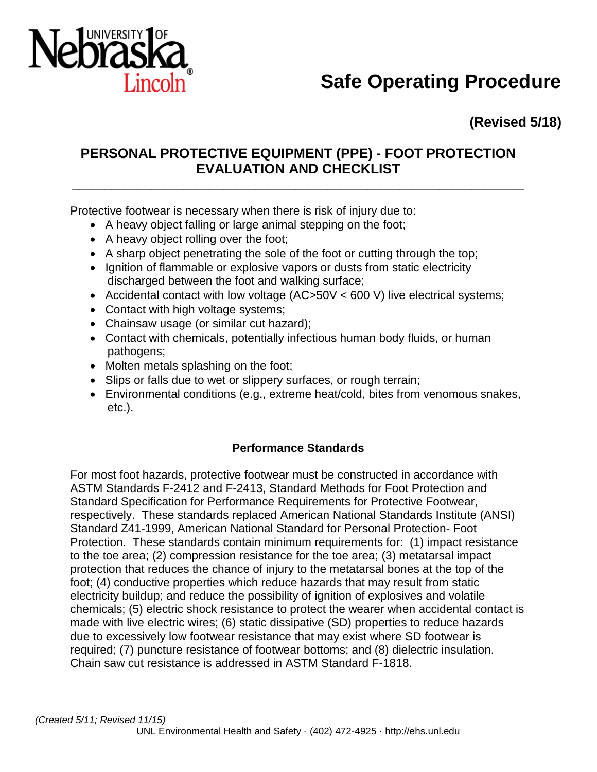

# **Safe Operating Procedure**

**(Revised 5/18)**

## **PERSONAL PROTECTIVE EQUIPMENT (PPE) - FOOT PROTECTION EVALUATION AND CHECKLIST**

\_\_\_\_\_\_\_\_\_\_\_\_\_\_\_\_\_\_\_\_\_\_\_\_\_\_\_\_\_\_\_\_\_\_\_\_\_\_\_\_\_\_\_\_\_\_\_\_\_\_\_\_\_\_\_\_\_\_\_\_\_\_\_\_\_\_\_\_\_

Protective footwear is necessary when there is risk of injury due to:

- A heavy object falling or large animal stepping on the foot;
- A heavy object rolling over the foot;
- A sharp object penetrating the sole of the foot or cutting through the top;
- Ignition of flammable or explosive vapors or dusts from static electricity discharged between the foot and walking surface;
- Accidental contact with low voltage (AC>50V < 600 V) live electrical systems;
- Contact with high voltage systems;
- Chainsaw usage (or similar cut hazard);
- Contact with chemicals, potentially infectious human body fluids, or human pathogens;
- Molten metals splashing on the foot;
- Slips or falls due to wet or slippery surfaces, or rough terrain;
- Environmental conditions (e.g., extreme heat/cold, bites from venomous snakes, etc.).

#### **Performance Standards**

For most foot hazards, protective footwear must be constructed in accordance with ASTM Standards F-2412 and F-2413, Standard Methods for Foot Protection and Standard Specification for Performance Requirements for Protective Footwear, respectively. These standards replaced American National Standards Institute (ANSI) Standard Z41-1999, American National Standard for Personal Protection- Foot Protection. These standards contain minimum requirements for: (1) impact resistance to the toe area; (2) compression resistance for the toe area; (3) metatarsal impact protection that reduces the chance of injury to the metatarsal bones at the top of the foot; (4) conductive properties which reduce hazards that may result from static electricity buildup; and reduce the possibility of ignition of explosives and volatile chemicals; (5) electric shock resistance to protect the wearer when accidental contact is made with live electric wires; (6) static dissipative (SD) properties to reduce hazards due to excessively low footwear resistance that may exist where SD footwear is required; (7) puncture resistance of footwear bottoms; and (8) dielectric insulation. Chain saw cut resistance is addressed in ASTM Standard F-1818.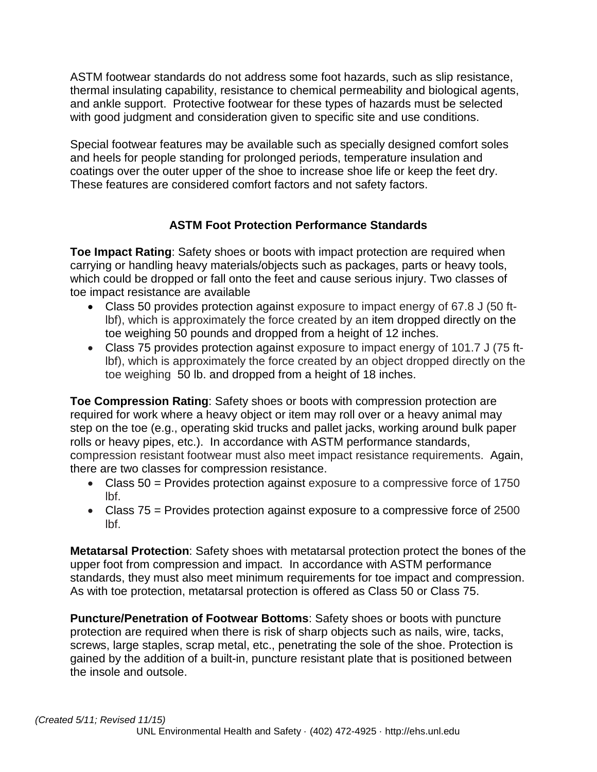ASTM footwear standards do not address some foot hazards, such as slip resistance, thermal insulating capability, resistance to chemical permeability and biological agents, and ankle support. Protective footwear for these types of hazards must be selected with good judgment and consideration given to specific site and use conditions.

Special footwear features may be available such as specially designed comfort soles and heels for people standing for prolonged periods, temperature insulation and coatings over the outer upper of the shoe to increase shoe life or keep the feet dry. These features are considered comfort factors and not safety factors.

### **ASTM Foot Protection Performance Standards**

**Toe Impact Rating**: Safety shoes or boots with impact protection are required when carrying or handling heavy materials/objects such as packages, parts or heavy tools, which could be dropped or fall onto the feet and cause serious injury. Two classes of toe impact resistance are available

- Class 50 provides protection against exposure to impact energy of 67.8 J (50 ftlbf), which is approximately the force created by an item dropped directly on the toe weighing 50 pounds and dropped from a height of 12 inches.
- Class 75 provides protection against exposure to impact energy of 101.7 J (75 ftlbf), which is approximately the force created by an object dropped directly on the toe weighing 50 lb. and dropped from a height of 18 inches.

**Toe Compression Rating**: Safety shoes or boots with compression protection are required for work where a heavy object or item may roll over or a heavy animal may step on the toe (e.g., operating skid trucks and pallet jacks, working around bulk paper rolls or heavy pipes, etc.). In accordance with ASTM performance standards, compression resistant footwear must also meet impact resistance requirements. Again, there are two classes for compression resistance.

- Class 50 = Provides protection against exposure to a compressive force of 1750 lbf.
- Class 75 = Provides protection against exposure to a compressive force of 2500 lbf.

**Metatarsal Protection**: Safety shoes with metatarsal protection protect the bones of the upper foot from compression and impact. In accordance with ASTM performance standards, they must also meet minimum requirements for toe impact and compression. As with toe protection, metatarsal protection is offered as Class 50 or Class 75.

**Puncture/Penetration of Footwear Bottoms**: Safety shoes or boots with puncture protection are required when there is risk of sharp objects such as nails, wire, tacks, screws, large staples, scrap metal, etc., penetrating the sole of the shoe. Protection is gained by the addition of a built-in, puncture resistant plate that is positioned between the insole and outsole.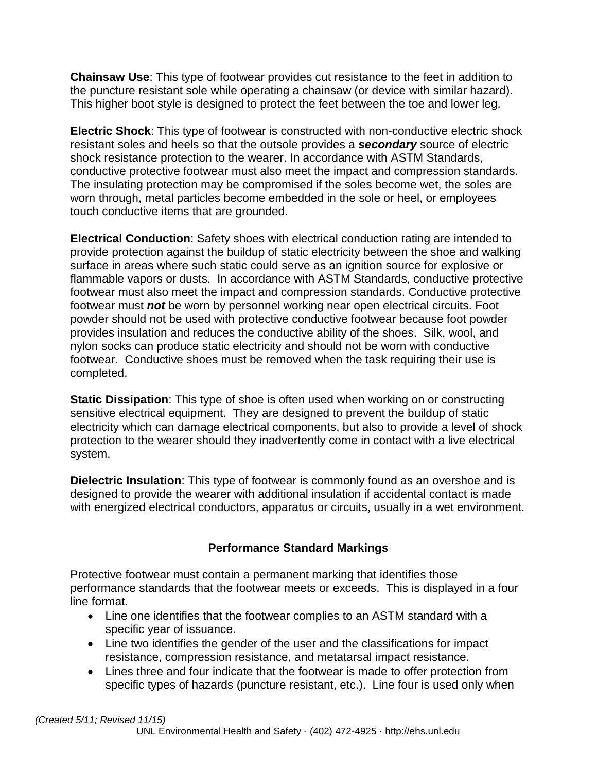**Chainsaw Use**: This type of footwear provides cut resistance to the feet in addition to the puncture resistant sole while operating a chainsaw (or device with similar hazard). This higher boot style is designed to protect the feet between the toe and lower leg.

**Electric Shock**: This type of footwear is constructed with non-conductive electric shock resistant soles and heels so that the outsole provides a *secondary* source of electric shock resistance protection to the wearer. In accordance with ASTM Standards, conductive protective footwear must also meet the impact and compression standards. The insulating protection may be compromised if the soles become wet, the soles are worn through, metal particles become embedded in the sole or heel, or employees touch conductive items that are grounded.

**Electrical Conduction**: Safety shoes with electrical conduction rating are intended to provide protection against the buildup of static electricity between the shoe and walking surface in areas where such static could serve as an ignition source for explosive or flammable vapors or dusts. In accordance with ASTM Standards, conductive protective footwear must also meet the impact and compression standards. Conductive protective footwear must *not* be worn by personnel working near open electrical circuits. Foot powder should not be used with protective conductive footwear because foot powder provides insulation and reduces the conductive ability of the shoes. Silk, wool, and nylon socks can produce static electricity and should not be worn with conductive footwear. Conductive shoes must be removed when the task requiring their use is completed.

**Static Dissipation**: This type of shoe is often used when working on or constructing sensitive electrical equipment. They are designed to prevent the buildup of static electricity which can damage electrical components, but also to provide a level of shock protection to the wearer should they inadvertently come in contact with a live electrical system.

**Dielectric Insulation**: This type of footwear is commonly found as an overshoe and is designed to provide the wearer with additional insulation if accidental contact is made with energized electrical conductors, apparatus or circuits, usually in a wet environment.

### **Performance Standard Markings**

Protective footwear must contain a permanent marking that identifies those performance standards that the footwear meets or exceeds. This is displayed in a four line format.

- Line one identifies that the footwear complies to an ASTM standard with a specific year of issuance.
- Line two identifies the gender of the user and the classifications for impact resistance, compression resistance, and metatarsal impact resistance.
- Lines three and four indicate that the footwear is made to offer protection from specific types of hazards (puncture resistant, etc.). Line four is used only when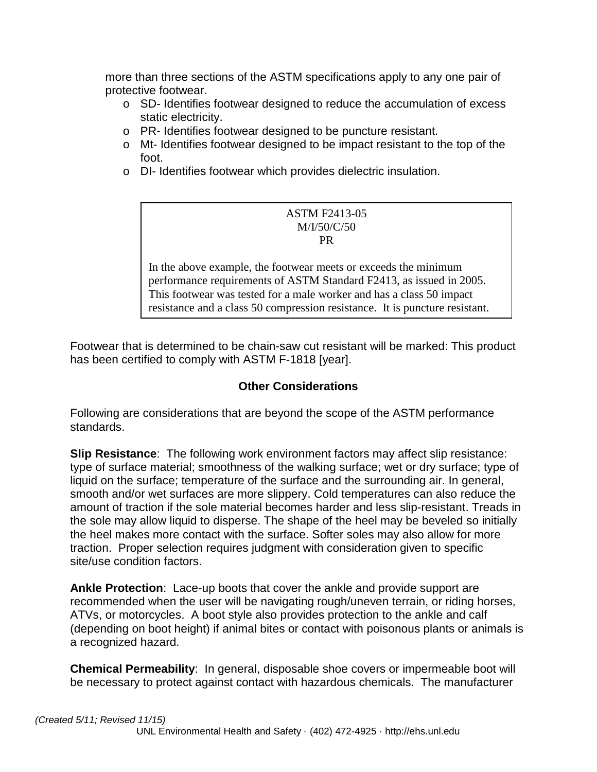more than three sections of the ASTM specifications apply to any one pair of protective footwear.

- o SD- Identifies footwear designed to reduce the accumulation of excess static electricity.
- o PR- Identifies footwear designed to be puncture resistant.
- o Mt- Identifies footwear designed to be impact resistant to the top of the foot.
- o DI- Identifies footwear which provides dielectric insulation.

#### ASTM F2413-05 M/I/50/C/50 PR

In the above example, the footwear meets or exceeds the minimum performance requirements of ASTM Standard F2413, as issued in 2005. This footwear was tested for a male worker and has a class 50 impact resistance and a class 50 compression resistance. It is puncture resistant.

Footwear that is determined to be chain-saw cut resistant will be marked: This product has been certified to comply with ASTM F-1818 [year].

#### **Other Considerations**

Following are considerations that are beyond the scope of the ASTM performance standards.

**Slip Resistance**: The following work environment factors may affect slip resistance: type of surface material; smoothness of the walking surface; wet or dry surface; type of liquid on the surface; temperature of the surface and the surrounding air. In general, smooth and/or wet surfaces are more slippery. Cold temperatures can also reduce the amount of traction if the sole material becomes harder and less slip-resistant. Treads in the sole may allow liquid to disperse. The shape of the heel may be beveled so initially the heel makes more contact with the surface. Softer soles may also allow for more traction. Proper selection requires judgment with consideration given to specific site/use condition factors.

**Ankle Protection**: Lace-up boots that cover the ankle and provide support are recommended when the user will be navigating rough/uneven terrain, or riding horses, ATVs, or motorcycles. A boot style also provides protection to the ankle and calf (depending on boot height) if animal bites or contact with poisonous plants or animals is a recognized hazard.

**Chemical Permeability**: In general, disposable shoe covers or impermeable boot will be necessary to protect against contact with hazardous chemicals. The manufacturer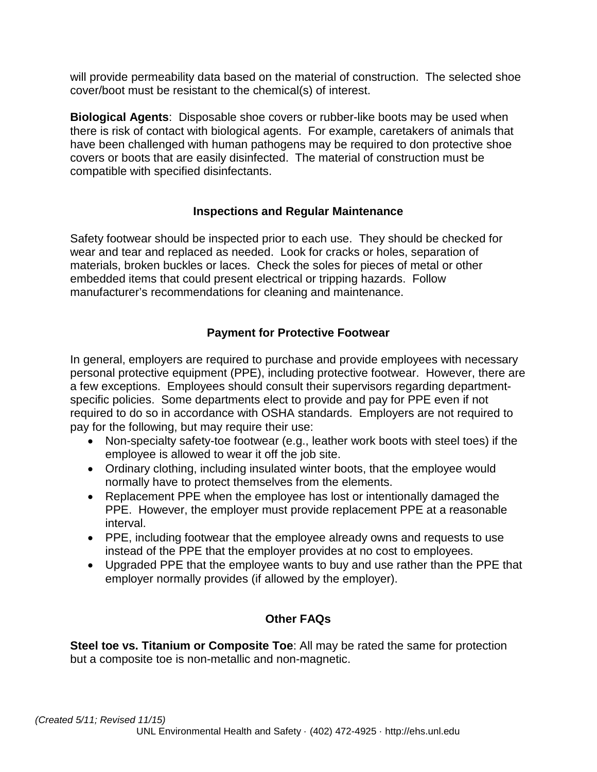will provide permeability data based on the material of construction. The selected shoe cover/boot must be resistant to the chemical(s) of interest.

**Biological Agents**: Disposable shoe covers or rubber-like boots may be used when there is risk of contact with biological agents. For example, caretakers of animals that have been challenged with human pathogens may be required to don protective shoe covers or boots that are easily disinfected. The material of construction must be compatible with specified disinfectants.

#### **Inspections and Regular Maintenance**

Safety footwear should be inspected prior to each use. They should be checked for wear and tear and replaced as needed. Look for cracks or holes, separation of materials, broken buckles or laces. Check the soles for pieces of metal or other embedded items that could present electrical or tripping hazards. Follow manufacturer's recommendations for cleaning and maintenance.

#### **Payment for Protective Footwear**

In general, employers are required to purchase and provide employees with necessary personal protective equipment (PPE), including protective footwear. However, there are a few exceptions. Employees should consult their supervisors regarding departmentspecific policies. Some departments elect to provide and pay for PPE even if not required to do so in accordance with OSHA standards. Employers are not required to pay for the following, but may require their use:

- Non-specialty safety-toe footwear (e.g., leather work boots with steel toes) if the employee is allowed to wear it off the job site.
- Ordinary clothing, including insulated winter boots, that the employee would normally have to protect themselves from the elements.
- Replacement PPE when the employee has lost or intentionally damaged the PPE. However, the employer must provide replacement PPE at a reasonable interval.
- PPE, including footwear that the employee already owns and requests to use instead of the PPE that the employer provides at no cost to employees.
- Upgraded PPE that the employee wants to buy and use rather than the PPE that employer normally provides (if allowed by the employer).

#### **Other FAQs**

**Steel toe vs. Titanium or Composite Toe**: All may be rated the same for protection but a composite toe is non-metallic and non-magnetic.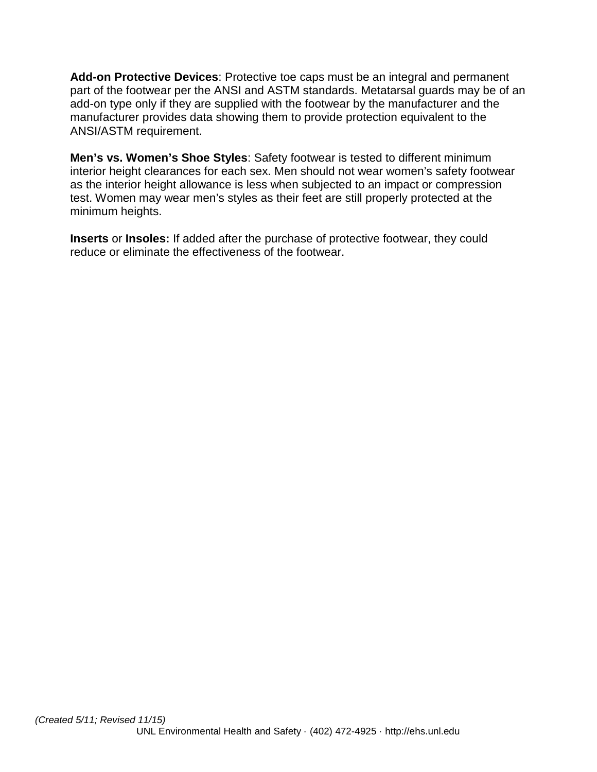**Add-on Protective Devices**: Protective toe caps must be an integral and permanent part of the footwear per the ANSI and ASTM standards. Metatarsal guards may be of an add-on type only if they are supplied with the footwear by the manufacturer and the manufacturer provides data showing them to provide protection equivalent to the ANSI/ASTM requirement.

**Men's vs. Women's Shoe Styles**: Safety footwear is tested to different minimum interior height clearances for each sex. Men should not wear women's safety footwear as the interior height allowance is less when subjected to an impact or compression test. Women may wear men's styles as their feet are still properly protected at the minimum heights.

**Inserts** or **Insoles:** If added after the purchase of protective footwear, they could reduce or eliminate the effectiveness of the footwear.